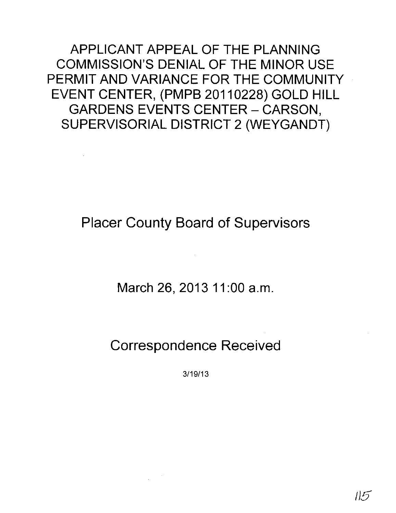APPLICANT APPEAL OF THE PLANNING COMMISSION'S DENIAL OF THE MINOR USE PERMIT AND VARIANCE FOR THE COMMUNITY EVENT CENTER, (PMPB 20110228) GOLD HILL GARDENS EVENTS CENTER - CARSON, SUPERVISORIAL DISTRICT 2 (WEYGANDT)

Placer County Board of Supervisors

March 26, 2013 11:00 a.m.

Correspondence Received

3/19/13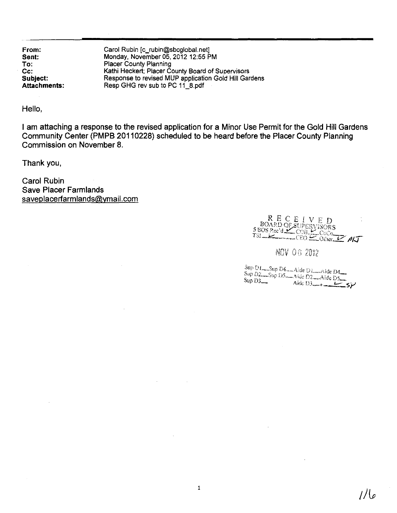From: Sent: To: Cc: Subject: Attachments: Carol Rubin [c\_rubin@sbcglobal.net] Monday, November 05,2012 12:55 PM Placer County Planning Kathi Heckert; Placer County Board of Supervisors Response to revised MUP application Gold Hill Gardens Resp GHG rev sub to PC 11\_8.pdf

Hello,

I am attaching a response to the revised application for a Minor Use Permit for the Gold Hill Gardens Community Center (PMPB 20110228) scheduled to be heard before the Placer County Planning Commission on November 8.

Thank you,

Carol Rubin Save Placer Farmlands saveplacerfarmlands@ymail.com

RECEIVED<br>BOARD OF SUPERVISORS<br>SBOS Rec'd CORL COCO

NOV 06 2012

 $\frac{\text{Sup D1}}{\text{Sup D2}}$  Sup D4  $\longrightarrow$  Aide D1, Aide D4, Sup D1 - Sup D4 - Aide D1 - Aide D4<br>Sup D2 - Sup D5 - Aide D2 - Aide D5<br>Sup D3 - Aide D3 - Aide D3 - Sup D3 - Ride D3 - 5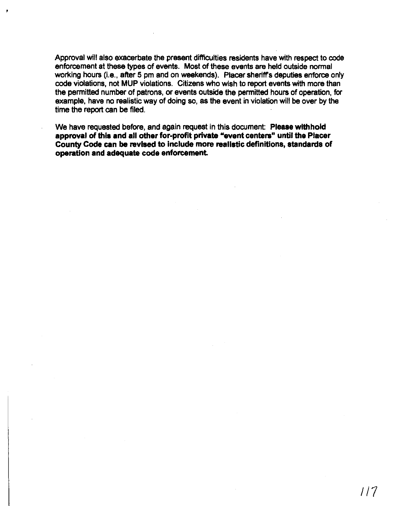Approval will also exacerbate the present difficulties residents have with respect to code enforcement at these types of events. Most of these events are held outside normal working hours (i.e., after 5 pm and on weekends). Placer sheriff's deputies enforce only code violations, not MUP violations. Citizens who wish to report events with more than the permitted number of patrons, or events outside the permitted hours of operation, for example, have no realistic way of doing so, as the event in violation will be over by the time the report can be filed.

We have requested before, and again request in this document: Please withhold approval of this and all other for-profit private "event centers" until the Placer County Code can be revIsed to include more realistic definitions, standards of operation and adequate code enforcement.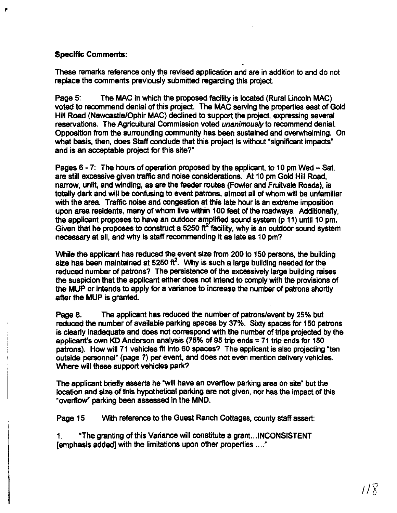## Specific Comments:

*r*

These remarks reference only the revised application and are in addition to and do not replace the comments previously submitted regarding this project.

Page 5: The MAC in which the proposed facility is located (Rural Lincoln MAC) voted to recommend denial of this project. The MAC serving the properties east of Gold Hill Road (Newcastle/Ophir MAC) declined to support the project, expressing several reservations. The Agricultural Commission voted *unanimously* to recommend denial. Opposition from the surrounding community has been sustained and overwhelming. On what basis, then, does Staff conclude that this project is without "significant impacts" and is an acceptable project for this site?"

Pages 6 - 7: The hours of operation proposed by the applicant, to 10 pm Wed - Sat. are still excessive given traffic and noise considerations. At 10 pm Gold Hill Road, narrow, unlit, and winding, as are the feeder routes (Fowler and Fruitvale Roads), is totally dark and will be confusing to event patrons, almost all of whom will be unfamiliar with the area. Traffic noise and congestion at this late hour is an extreme imposition upon area residents, many of whom live within 100 feet of the roadways. Additionally, the applicant proposes to have an outdoor amplified sound system (p 11) until 10 pm. Given that he proposes to construct a 5250  $\mathrm{ft}^2$  facility, why is an outdoor sound system necessary at all, and why is staff recommending it as late as 10 pm?

While the applicant has reduced the event size from 200 to 150 persons, the building size has been maintained at 5250  $\text{ft}^2$ . Why is such a large building needed for the reduced number of patrons? The persistence of the excessively large building raises the suspicion that the applicant either does not intend to comply with the provisions of the MUP or intends to apply for a variance to increase the number of patrons shortly after the MUP is granted.

Page 8. The applicant has reduced the number of patrons/event by 25% but reduced the number of available parking spaces by 37%. Sixty spaces for 150 patrons is clearly inadequate and does not correspond with the number of trips projected by the applicant's own KD Anderson analysis (75% of <sup>95</sup> trip ends =<sup>71</sup> trip ends for <sup>150</sup> patrons). How will 71 vehicles fit into 60 spaces? The applicant is also projecting "ten outside personnel" (page 7) per event, and does not even mention delivery vehicles. Where will these support vehicles park?

The applicant briefly asserts he "will have an overflow parking area on site" but the location and size of this hypothetical parking are not given, nor has the impact of this "overflow" parking been assessed in the MND.

Page 15 Wrlh reference to the Guest Ranch Cottages, county staff assert:

1. "The granting ofthis Variance will constitute a grant...INCONSISTENT [emphasis added) with the limitations upon other properties .....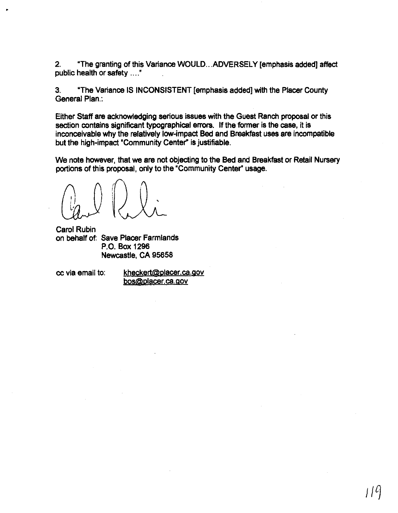2. "The granting of this Variance WOULD...ADVERSELY [emphasis added] affect public health or safety ...."

3. "The Variance IS INCONSISTENT [emphasis added] with the Placer County General Plan.:

Either Staff are acknowledging serious issues with the Guest Ranch proposal or this section contains significant typographical errors. If the former is the case, it is inconceivable why the relatively low-impact **Bed** and Breakfast uses are incompatible but the high-impact 'Community Center" is justifiable.

We note however, that we are not objecting to the **Bed** and Breakfast or Retail Nursery portions of this proposal, only to the "Community Center" usage.

Carol Rubin on behalf of: Save Placer Farmlands P.O. Box 1296 Newcastle, CA 95658

•

cc via email to: kheckert@placer.ca.gov bos@placer.ca.gov